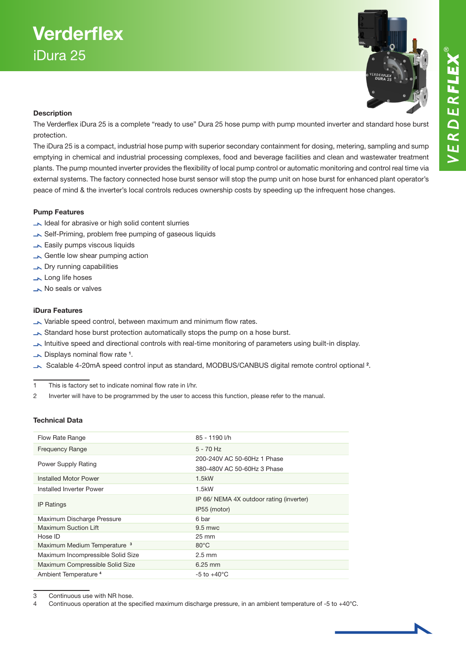

### **Description**

The Verderflex iDura 25 is a complete "ready to use" Dura 25 hose pump with pump mounted inverter and standard hose burst protection.

The iDura 25 is a compact, industrial hose pump with superior secondary containment for dosing, metering, sampling and sump emptying in chemical and industrial processing complexes, food and beverage facilities and clean and wastewater treatment plants. The pump mounted inverter provides the flexibility of local pump control or automatic monitoring and control real time via external systems. The factory connected hose burst sensor will stop the pump unit on hose burst for enhanced plant operator's peace of mind & the inverter's local controls reduces ownership costs by speeding up the infrequent hose changes.

### Pump Features

- Ideal for abrasive or high solid content slurries
- Self-Priming, problem free pumping of gaseous liquids
- **Easily pumps viscous liquids**
- Gentle low shear pumping action
- **No Dry running capabilities**
- Long life hoses
- No seals or valves

#### iDura Features

- Variable speed control, between maximum and minimum flow rates.
- Standard hose burst protection automatically stops the pump on a hose burst.
- Intuitive speed and directional controls with real-time monitoring of parameters using built-in display.
- Displays nominal flow rate <sup>1</sup>.
- Scalable 4-20mA speed control input as standard, MODBUS/CANBUS digital remote control optional <sup>2</sup>.

1 This is factory set to indicate nominal flow rate in l/hr.

2 Inverter will have to be programmed by the user to access this function, please refer to the manual.

#### Technical Data

| Flow Rate Range                         | 85 - 1190 l/h                            |
|-----------------------------------------|------------------------------------------|
| <b>Frequency Range</b>                  | $5 - 70$ Hz                              |
| <b>Power Supply Rating</b>              | 200-240V AC 50-60Hz 1 Phase              |
|                                         | 380-480V AC 50-60Hz 3 Phase              |
| Installed Motor Power                   | 1.5kW                                    |
| Installed Inverter Power                | 1.5kW                                    |
| <b>IP Ratings</b>                       | IP 66/ NEMA 4X outdoor rating (inverter) |
|                                         | IP55 (motor)                             |
| Maximum Discharge Pressure              | 6 bar                                    |
| Maximum Suction Lift                    | $9.5$ mwc                                |
| Hose ID                                 | $25 \text{ mm}$                          |
| Maximum Medium Temperature <sup>3</sup> | $80^{\circ}$ C                           |
| Maximum Incompressible Solid Size       | $2.5 \text{ mm}$                         |
| Maximum Compressible Solid Size         | $6.25$ mm                                |
| Ambient Temperature <sup>4</sup>        | $-5$ to $+40^{\circ}$ C                  |

3 Continuous use with NR hose.

4 Continuous operation at the specified maximum discharge pressure, in an ambient temperature of -5 to +40°C.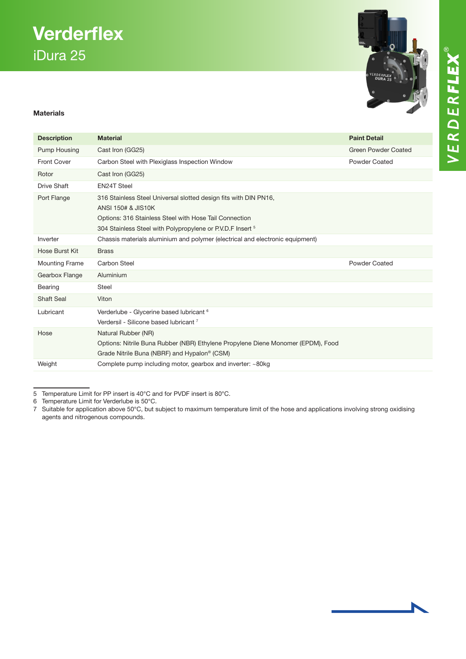# **Verderflex** iDura 25



### Materials

| <b>Description</b>    | <b>Material</b>                                                                                                                                                                                                           | <b>Paint Detail</b>  |
|-----------------------|---------------------------------------------------------------------------------------------------------------------------------------------------------------------------------------------------------------------------|----------------------|
| Pump Housing          | Cast Iron (GG25)                                                                                                                                                                                                          | Green Powder Coated  |
| <b>Front Cover</b>    | Carbon Steel with Plexiglass Inspection Window                                                                                                                                                                            | Powder Coated        |
| Rotor                 | Cast Iron (GG25)                                                                                                                                                                                                          |                      |
| <b>Drive Shaft</b>    | <b>EN24T Steel</b>                                                                                                                                                                                                        |                      |
| Port Flange           | 316 Stainless Steel Universal slotted design fits with DIN PN16,<br>ANSI 150# & JIS10K<br>Options: 316 Stainless Steel with Hose Tail Connection<br>304 Stainless Steel with Polypropylene or P.V.D.F Insert <sup>5</sup> |                      |
| Inverter              | Chassis materials aluminium and polymer (electrical and electronic equipment)                                                                                                                                             |                      |
| Hose Burst Kit        | <b>Brass</b>                                                                                                                                                                                                              |                      |
| <b>Mounting Frame</b> | <b>Carbon Steel</b>                                                                                                                                                                                                       | <b>Powder Coated</b> |
| Gearbox Flange        | Aluminium                                                                                                                                                                                                                 |                      |
| Bearing               | <b>Steel</b>                                                                                                                                                                                                              |                      |
| <b>Shaft Seal</b>     | Viton                                                                                                                                                                                                                     |                      |
| Lubricant             | Verderlube - Glycerine based lubricant 6<br>Verdersil - Silicone based lubricant 7                                                                                                                                        |                      |
| Hose                  | Natural Rubber (NR)<br>Options: Nitrile Buna Rubber (NBR) Ethylene Propylene Diene Monomer (EPDM), Food<br>Grade Nitrile Buna (NBRF) and Hypalon <sup>®</sup> (CSM)                                                       |                      |
| Weight                | Complete pump including motor, gearbox and inverter: ~80kg                                                                                                                                                                |                      |

<sup>5</sup> Temperature Limit for PP insert is 40°C and for PVDF insert is 80°C.

<sup>6</sup> Temperature Limit for Verderlube is  $50^{\circ}$ C.<br>7 Suitable for application above  $50^{\circ}$ C. but s

<sup>7</sup> Suitable for application above 50°C, but subject to maximum temperature limit of the hose and applications involving strong oxidising agents and nitrogenous compounds.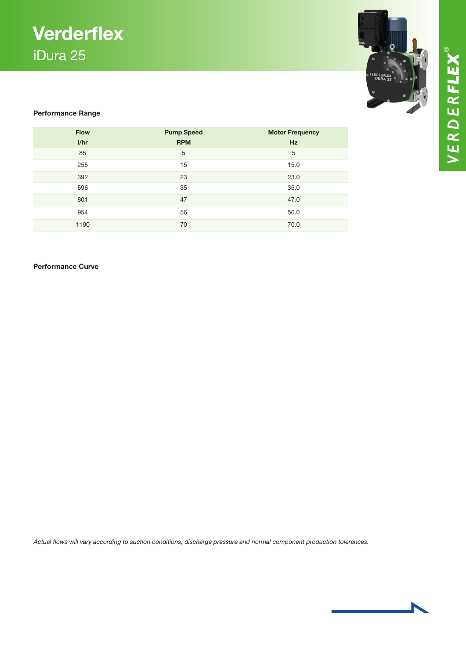### **Verderflex** iDura 25



VERDERFLEX®

### Performance Range

| <b>Flow</b> | <b>Pump Speed</b> | <b>Motor Frequency</b> |
|-------------|-------------------|------------------------|
| I/hr        | <b>RPM</b>        | Hz                     |
| 85          | 5                 | 5                      |
| 255         | 15                | 15.0                   |
| 392         | 23                | 23.0                   |
| 596         | 35                | 35.0                   |
| 801         | 47                | 47.0                   |
| 954         | 56                | 56.0                   |
| 1190        | 70                | 70.0                   |

### Performance Curve

*Actual flows will vary according to suction conditions, discharge pressure and normal component production tolerances.*